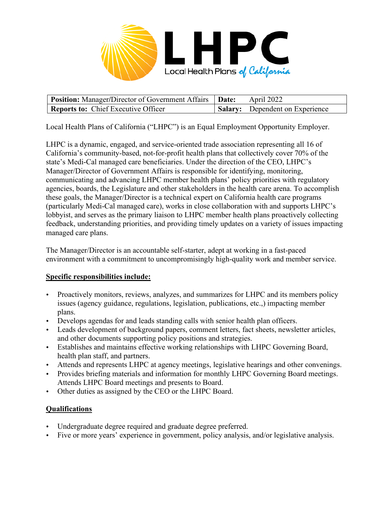

| <b>Position:</b> Manager/Director of Government Affairs   Date: | <b>April 2022</b>                      |
|-----------------------------------------------------------------|----------------------------------------|
| Reports to: Chief Executive Officer                             | <b>Salary:</b> Dependent on Experience |

Local Health Plans of California ("LHPC") is an Equal Employment Opportunity Employer.

LHPC is a dynamic, engaged, and service-oriented trade association representing all 16 of California's community-based, not-for-profit health plans that collectively cover 70% of the state's Medi-Cal managed care beneficiaries. Under the direction of the CEO, LHPC's Manager/Director of Government Affairs is responsible for identifying, monitoring, communicating and advancing LHPC member health plans' policy priorities with regulatory agencies, boards, the Legislature and other stakeholders in the health care arena. To accomplish these goals, the Manager/Director is a technical expert on California health care programs (particularly Medi-Cal managed care), works in close collaboration with and supports LHPC's lobbyist, and serves as the primary liaison to LHPC member health plans proactively collecting feedback, understanding priorities, and providing timely updates on a variety of issues impacting managed care plans.

The Manager/Director is an accountable self-starter, adept at working in a fast-paced environment with a commitment to uncompromisingly high-quality work and member service.

## **Specific responsibilities include:**

- Proactively monitors, reviews, analyzes, and summarizes for LHPC and its members policy issues (agency guidance, regulations, legislation, publications, etc.,) impacting member plans.
- Develops agendas for and leads standing calls with senior health plan officers.
- Leads development of background papers, comment letters, fact sheets, newsletter articles, and other documents supporting policy positions and strategies.
- Establishes and maintains effective working relationships with LHPC Governing Board, health plan staff, and partners.
- Attends and represents LHPC at agency meetings, legislative hearings and other convenings.
- Provides briefing materials and information for monthly LHPC Governing Board meetings. Attends LHPC Board meetings and presents to Board.
- Other duties as assigned by the CEO or the LHPC Board.

## **Qualifications**

- Undergraduate degree required and graduate degree preferred.
- Five or more years' experience in government, policy analysis, and/or legislative analysis.